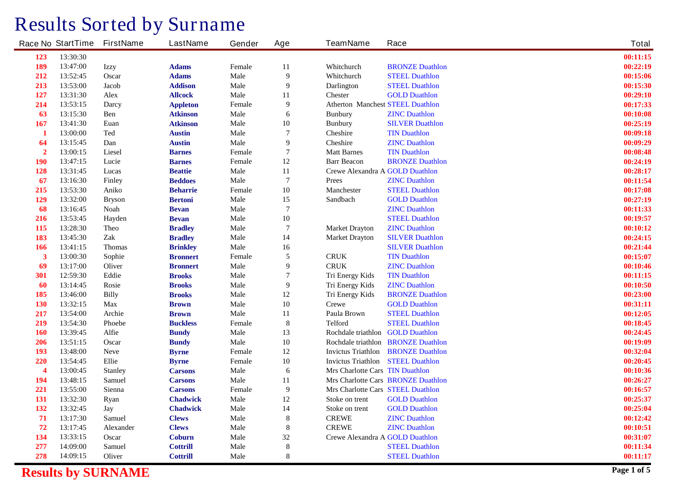## **Results Sorted by Surname**

|                  | <b>Race No StartTime</b> | <b>FirstName</b> | <b>LastName</b> | Gender        | Age              | <b>TeamName</b>                          | Race                                      | <b>Total</b> |
|------------------|--------------------------|------------------|-----------------|---------------|------------------|------------------------------------------|-------------------------------------------|--------------|
| 123              | 13:30:30                 |                  |                 |               |                  |                                          |                                           | 00:11:15     |
| 189              | 13:47:00                 | <b>Izzy</b>      | <b>Adams</b>    | Female        | 11               | Whitchurch                               | <b>BRONZE Duathlon</b>                    | 00:22:19     |
| 212              | 13:52:45                 | <b>Oscar</b>     | <b>Adams</b>    | Male          | $\boldsymbol{9}$ | Whitchurch                               | <b>STEEL Duathlon</b>                     | 00:15:06     |
| 213              | 13:53:00                 | <b>Jacob</b>     | <b>Addison</b>  | <b>Male</b>   | $\boldsymbol{9}$ | <b>Darlington</b>                        | <b>STEEL Duathlon</b>                     | 00:15:30     |
| 127              | 13:31:30                 | <b>Alex</b>      | <b>Allcock</b>  | <b>Male</b>   | 11               | <b>Chester</b>                           | <b>GOLD Duathlon</b>                      | 00:29:10     |
| 214              | 13:53:15                 | Darcy            | <b>Appleton</b> | Female        | $\boldsymbol{9}$ | <b>Atherton Manchest STEEL Duathlon</b>  |                                           | 00:17:33     |
| 63               | 13:15:30                 | <b>Ben</b>       | <b>Atkinson</b> | <b>Male</b>   | 6                | <b>Bunbury</b>                           | <b>ZINC Duathlon</b>                      | 00:10:08     |
| 167              | 13:41:30                 | Euan             | <b>Atkinson</b> | <b>Male</b>   | 10               | <b>Bunbury</b>                           | <b>SILVER Duathlon</b>                    | 00:25:19     |
| -1               | 13:00:00                 | <b>Ted</b>       | <b>Austin</b>   | <b>Male</b>   | $\boldsymbol{7}$ | <b>Cheshire</b>                          | <b>TIN Duathlon</b>                       | 00:09:18     |
| 64               | 13:15:45                 | Dan              | <b>Austin</b>   | <b>Male</b>   | 9                | <b>Cheshire</b>                          | <b>ZINC Duathlon</b>                      | 00:09:29     |
| $\overline{2}$   | 13:00:15                 | <b>Liesel</b>    | <b>Barnes</b>   | Female        | $\overline{7}$   | <b>Matt Barnes</b>                       | <b>TIN Duathlon</b>                       | 00:08:48     |
| 190              | 13:47:15                 | Lucie            | <b>Barnes</b>   | Female        | 12               | <b>Barr Beacon</b>                       | <b>BRONZE Duathlon</b>                    | 00:24:19     |
| 128              | 13:31:45                 | Lucas            | <b>Beattie</b>  | <b>Male</b>   | 11               | <b>Crewe Alexandra A GOLD Duathlon</b>   |                                           | 00:28:17     |
| 67               | 13:16:30                 | <b>Finley</b>    | <b>Beddoes</b>  | <b>Male</b>   | $\overline{7}$   | <b>Prees</b>                             | <b>ZINC Duathlon</b>                      | 00:11:54     |
| 215              | 13:53:30                 | Aniko            | <b>Beharrie</b> | Female        | 10               | <b>Manchester</b>                        | <b>STEEL Duathlon</b>                     | 00:17:08     |
| 129              | 13:32:00                 | <b>Bryson</b>    | <b>Bertoni</b>  | <b>Male</b>   | 15               | <b>Sandbach</b>                          | <b>GOLD Duathlon</b>                      | 00:27:19     |
| 68               | 13:16:45                 | <b>Noah</b>      | <b>Bevan</b>    | <b>Male</b>   | $\overline{7}$   |                                          | <b>ZINC Duathlon</b>                      | 00:11:33     |
| 216              | 13:53:45                 | <b>Hayden</b>    | <b>Bevan</b>    | <b>Male</b>   | 10               |                                          | <b>STEEL Duathlon</b>                     | 00:19:57     |
| 115              | 13:28:30                 | <b>Theo</b>      | <b>Bradley</b>  | <b>Male</b>   | $\overline{7}$   | <b>Market Drayton</b>                    | <b>ZINC Duathlon</b>                      | 00:10:12     |
| 183              | 13:45:30                 | Zak              | <b>Bradley</b>  | <b>Male</b>   | 14               | <b>Market Drayton</b>                    | <b>SILVER Duathlon</b>                    | 00:24:15     |
| 166              | 13:41:15                 | <b>Thomas</b>    | <b>Brinkley</b> | <b>Male</b>   | 16               |                                          | <b>SILVER Duathlon</b>                    | 00:21:44     |
| $\mathbf{3}$     | 13:00:30                 | Sophie           | <b>Bronnert</b> | <b>Female</b> | $\sqrt{5}$       | <b>CRUK</b>                              | <b>TIN Duathlon</b>                       | 00:15:07     |
| 69               | 13:17:00                 | <b>Oliver</b>    | <b>Bronnert</b> | <b>Male</b>   | 9                | <b>CRUK</b>                              | <b>ZINC Duathlon</b>                      | 00:10:46     |
| 301              | 12:59:30                 | Eddie            | <b>Brooks</b>   | <b>Male</b>   | $\overline{7}$   | <b>Tri Energy Kids</b>                   | <b>TIN Duathlon</b>                       | 00:11:15     |
| 60               | 13:14:45                 | <b>Rosie</b>     | <b>Brooks</b>   | <b>Male</b>   | $\boldsymbol{9}$ | <b>Tri Energy Kids</b>                   | <b>ZINC Duathlon</b>                      | 00:10:50     |
| 185              | 13:46:00                 | <b>Billy</b>     | <b>Brooks</b>   | <b>Male</b>   | 12               | Tri Energy Kids                          | <b>BRONZE Duathlon</b>                    | 00:23:00     |
| 130              | 13:32:15                 | <b>Max</b>       | <b>Brown</b>    | <b>Male</b>   | 10               | <b>Crewe</b>                             | <b>GOLD Duathlon</b>                      | 00:31:11     |
| 217              | 13:54:00                 | Archie           | <b>Brown</b>    | <b>Male</b>   | 11               | Paula Brown                              | <b>STEEL Duathlon</b>                     | 00:12:05     |
| 219              | 13:54:30                 | <b>Phoebe</b>    | <b>Buckless</b> | Female        | $\bf 8$          | <b>Telford</b>                           | <b>STEEL Duathlon</b>                     | 00:18:45     |
| 160              | 13:39:45                 | Alfie            | <b>Bundy</b>    | <b>Male</b>   | 13               | Rochdale triathlon GOLD Duathlon         |                                           | 00:24:45     |
| 206              | 13:51:15                 | <b>Oscar</b>     | <b>Bundy</b>    | <b>Male</b>   | 10               |                                          | <b>Rochdale triathlon BRONZE Duathlon</b> | 00:19:09     |
| 193              | 13:48:00                 | <b>Neve</b>      | <b>Byrne</b>    | Female        | 12               |                                          | <b>Invictus Triathlon BRONZE Duathlon</b> | 00:32:04     |
| 220              | 13:54:45                 | <b>Ellie</b>     | <b>Byrne</b>    | Female        | 10               | <b>Invictus Triathlon</b> STEEL Duathlon |                                           | 00:20:45     |
| $\boldsymbol{4}$ | 13:00:45                 | <b>Stanley</b>   | <b>Carsons</b>  | <b>Male</b>   | $\boldsymbol{6}$ | Mrs Charlotte Cars TIN Duathlon          |                                           | 00:10:36     |
| 194              | 13:48:15                 | <b>Samuel</b>    | <b>Carsons</b>  | <b>Male</b>   | 11               |                                          | Mrs Charlotte Cars BRONZE Duathlon        | 00:26:27     |
| 221              | 13:55:00                 | <b>Sienna</b>    | <b>Carsons</b>  | Female        | $\boldsymbol{9}$ | Mrs Charlotte Cars STEEL Duathlon        |                                           | 00:16:57     |
| 131              | 13:32:30                 | <b>Ryan</b>      | <b>Chadwick</b> | <b>Male</b>   | 12               | Stoke on trent                           | <b>GOLD Duathlon</b>                      | 00:25:37     |
| 132              | 13:32:45                 | Jay              | <b>Chadwick</b> | <b>Male</b>   | 14               | Stoke on trent                           | <b>GOLD Duathlon</b>                      | 00:25:04     |
| 71               | 13:17:30                 | <b>Samuel</b>    | <b>Clews</b>    | Male          | ${\bf 8}$        | <b>CREWE</b>                             | <b>ZINC Duathlon</b>                      | 00:12:42     |
| 72               | 13:17:45                 | <b>Alexander</b> | <b>Clews</b>    | <b>Male</b>   | ${\bf 8}$        | <b>CREWE</b>                             | <b>ZINC Duathlon</b>                      | 00:10:51     |
| 134              | 13:33:15                 | Oscar            | <b>Coburn</b>   | <b>Male</b>   | 32               | Crewe Alexandra A GOLD Duathlon          |                                           | 00:31:07     |
| 277              | 14:09:00                 | <b>Samuel</b>    | <b>Cottrill</b> | <b>Male</b>   | ${\bf 8}$        |                                          | <b>STEEL Duathlon</b>                     | 00:11:34     |
| 278              | 14:09:15                 | <b>Oliver</b>    | <b>Cottrill</b> | <b>Male</b>   | 8                |                                          | <b>STEEL Duathlon</b>                     | 00:11:17     |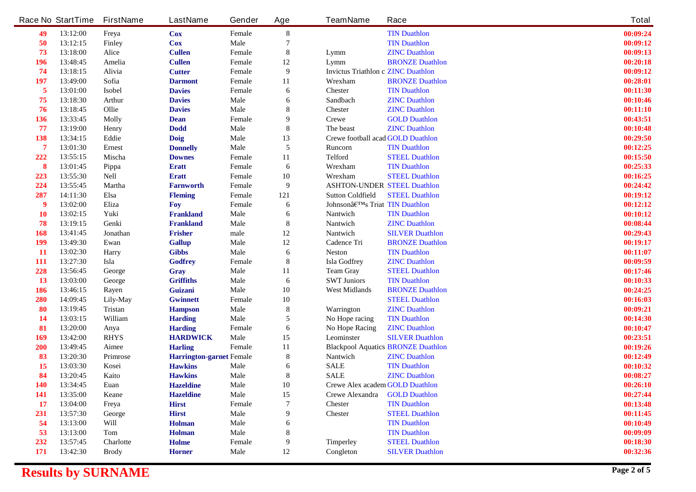|                | <b>Race No StartTime</b> | <b>FirstName</b> | <b>LastName</b>                 | Gender      | Age              | <b>TeamName</b>                           | Race                                      | <b>Total</b> |
|----------------|--------------------------|------------------|---------------------------------|-------------|------------------|-------------------------------------------|-------------------------------------------|--------------|
| 49             | 13:12:00                 | Freya            | <b>Cox</b>                      | Female      | ${\bf 8}$        |                                           | <b>TIN Duathlon</b>                       | 00:09:24     |
| 50             | 13:12:15                 | <b>Finley</b>    | <b>Cox</b>                      | <b>Male</b> | 7                |                                           | <b>TIN Duathlon</b>                       | 00:09:12     |
| 73             | 13:18:00                 | <b>Alice</b>     | <b>Cullen</b>                   | Female      | 8                | Lymm                                      | <b>ZINC Duathlon</b>                      | 00:09:13     |
| 196            | 13:48:45                 | Amelia           | <b>Cullen</b>                   | Female      | 12               | Lymm                                      | <b>BRONZE Duathlon</b>                    | 00:20:18     |
| 74             | 13:18:15                 | Alivia           | <b>Cutter</b>                   | Female      | $\boldsymbol{9}$ | <b>Invictus Triathlon c ZINC Duathlon</b> |                                           | 00:09:12     |
| <b>197</b>     | 13:49:00                 | Sofia            | <b>Darmont</b>                  | Female      | 11               | Wrexham                                   | <b>BRONZE Duathlon</b>                    | 00:28:01     |
| 5              | 13:01:00                 | <b>Isobel</b>    | <b>Davies</b>                   | Female      | 6                | <b>Chester</b>                            | <b>TIN Duathlon</b>                       | 00:11:30     |
| 75             | 13:18:30                 | <b>Arthur</b>    | <b>Davies</b>                   | <b>Male</b> | 6                | <b>Sandbach</b>                           | <b>ZINC Duathlon</b>                      | 00:10:46     |
| 76             | 13:18:45                 | Ollie            | <b>Davies</b>                   | <b>Male</b> | 8                | <b>Chester</b>                            | <b>ZINC Duathlon</b>                      | 00:11:10     |
| 136            | 13:33:45                 | <b>Molly</b>     | <b>Dean</b>                     | Female      | 9                | <b>Crewe</b>                              | <b>GOLD Duathlon</b>                      | 00:43:51     |
| 77             | 13:19:00                 | <b>Henry</b>     | <b>Dodd</b>                     | <b>Male</b> | ${\bf 8}$        | The beast                                 | <b>ZINC Duathlon</b>                      | 00:10:48     |
| 138            | 13:34:15                 | Eddie            | <b>Doig</b>                     | <b>Male</b> | 13               | <b>Crewe football acad GOLD Duathlon</b>  |                                           | 00:29:50     |
| $\overline{7}$ | 13:01:30                 | <b>Ernest</b>    | <b>Donnelly</b>                 | <b>Male</b> | 5                | Runcorn                                   | <b>TIN Duathlon</b>                       | 00:12:25     |
| 222            | 13:55:15                 | Mischa           | <b>Downes</b>                   | Female      | 11               | <b>Telford</b>                            | <b>STEEL Duathlon</b>                     | 00:15:50     |
| 8              | 13:01:45                 | Pippa            | <b>Eratt</b>                    | Female      | 6                | Wrexham                                   | <b>TIN Duathlon</b>                       | 00:25:33     |
| 223            | 13:55:30                 | <b>Nell</b>      | <b>Eratt</b>                    | Female      | 10               | Wrexham                                   | <b>STEEL Duathlon</b>                     | 00:16:25     |
| 224            | 13:55:45                 | <b>Martha</b>    | <b>Farnworth</b>                | Female      | $\boldsymbol{9}$ | <b>ASHTON-UNDER STEEL Duathlon</b>        |                                           | 00:24:42     |
| 287            | 14:11:30                 | Elsa             | <b>Fleming</b>                  | Female      | 121              | <b>Sutton Coldfield</b>                   | <b>STEEL Duathlon</b>                     | 00:19:12     |
| 9              | 13:02:00                 | Eliza            | <b>Foy</b>                      | Female      | 6                | Johnson's Triat TIN Duathlon              |                                           | 00:12:12     |
| <b>10</b>      | 13:02:15                 | Yuki             | <b>Frankland</b>                | <b>Male</b> | 6                | Nantwich                                  | <b>TIN Duathlon</b>                       | 00:10:12     |
| 78             | 13:19:15                 | Genki            | <b>Frankland</b>                | <b>Male</b> | $\bf{8}$         | Nantwich                                  | <b>ZINC Duathlon</b>                      | 00:08:44     |
| 168            | 13:41:45                 | Jonathan         | <b>Frisher</b>                  | male        | 12               | <b>Nantwich</b>                           | <b>SILVER Duathlon</b>                    | 00:29:43     |
| 199            | 13:49:30                 | Ewan             | <b>Gallup</b>                   | <b>Male</b> | 12               | <b>Cadence Tri</b>                        | <b>BRONZE Duathlon</b>                    | 00:19:17     |
| <b>11</b>      | 13:02:30                 | Harry            | <b>Gibbs</b>                    | <b>Male</b> | 6                | <b>Neston</b>                             | <b>TIN Duathlon</b>                       | 00:11:07     |
| <b>111</b>     | 13:27:30                 | Isla             | Godfrey                         | Female      | 8                | <b>Isla Godfrey</b>                       | <b>ZINC Duathlon</b>                      | 00:09:59     |
| 228            | 13:56:45                 | George           | Gray                            | <b>Male</b> | 11               | <b>Team Gray</b>                          | <b>STEEL Duathlon</b>                     | 00:17:46     |
| <b>13</b>      | 13:03:00                 | George           | <b>Griffiths</b>                | <b>Male</b> | 6                | <b>SWT Juniors</b>                        | <b>TIN Duathlon</b>                       | 00:10:33     |
| 186            | 13:46:15                 | Rayen            | Guizani                         | <b>Male</b> | 10               | <b>West Midlands</b>                      | <b>BRONZE Duathlon</b>                    | 00:24:25     |
| 280            | 14:09:45                 | Lily-May         | <b>Gwinnett</b>                 | Female      | 10               |                                           | <b>STEEL Duathlon</b>                     | 00:16:03     |
| 80             | 13:19:45                 | <b>Tristan</b>   | <b>Hampson</b>                  | <b>Male</b> | ${\bf 8}$        | <b>Warrington</b>                         | <b>ZINC Duathlon</b>                      | 00:09:21     |
| 14             | 13:03:15                 | William          | <b>Harding</b>                  | Male        | 5                | No Hope racing                            | <b>TIN Duathlon</b>                       | 00:14:30     |
| 81             | 13:20:00                 | Anya             | <b>Harding</b>                  | Female      | 6                | <b>No Hope Racing</b>                     | <b>ZINC Duathlon</b>                      | 00:10:47     |
| 169            | 13:42:00                 | <b>RHYS</b>      | <b>HARDWICK</b>                 | <b>Male</b> | 15               | Leominster                                | <b>SILVER Duathlon</b>                    | 00:23:51     |
| <b>200</b>     | 13:49:45                 | Aimee            | <b>Harling</b>                  | Female      | 11               |                                           | <b>Blackpool Aquatics BRONZE Duathlon</b> | 00:19:26     |
| 83             | 13:20:30                 | <b>Primrose</b>  | <b>Harrington-garnet Female</b> |             | ${\bf 8}$        | <b>Nantwich</b>                           | <b>ZINC Duathlon</b>                      | 00:12:49     |
| 15             | 13:03:30                 | Kosei            | <b>Hawkins</b>                  | <b>Male</b> | 6                | <b>SALE</b>                               | <b>TIN Duathlon</b>                       | 00:10:32     |
| 84             | 13:20:45                 | Kaito            | <b>Hawkins</b>                  | <b>Male</b> | 8                | <b>SALE</b>                               | <b>ZINC Duathlon</b>                      | 00:08:27     |
| <b>140</b>     | 13:34:45                 | Euan             | <b>Hazeldine</b>                | Male        | <b>10</b>        | <b>Crewe Alex academ GOLD Duathlon</b>    |                                           | 00:26:10     |
| <b>141</b>     | 13:35:00                 | Keane            | <b>Hazeldine</b>                | Male        | 15               | <b>Crewe Alexandra GOLD Duathlon</b>      |                                           | 00:27:44     |
| <b>17</b>      | 13:04:00                 | Freya            | <b>Hirst</b>                    | Female      | 7                | <b>Chester</b>                            | <b>TIN Duathlon</b>                       | 00:13:48     |
| 231            | 13:57:30                 | George           | <b>Hirst</b>                    | Male        | 9                | <b>Chester</b>                            | <b>STEEL Duathlon</b>                     | 00:11:45     |
| 54             | 13:13:00                 | Will             | Holman                          | <b>Male</b> | 6                |                                           | <b>TIN Duathlon</b>                       | 00:10:49     |
| 53             | 13:13:00                 | Tom              | Holman                          | Male        | 8                |                                           | <b>TIN Duathlon</b>                       | 00:09:09     |
| 232            | 13:57:45                 | <b>Charlotte</b> | Holme                           | Female      | 9                | <b>Timperley</b>                          | <b>STEEL Duathlon</b>                     | 00:18:30     |
| 171            | 13:42:30                 | <b>Brody</b>     | <b>Horner</b>                   | Male        | 12               | Congleton                                 | <b>SILVER Duathlon</b>                    | 00:32:36     |
|                |                          |                  |                                 |             |                  |                                           |                                           |              |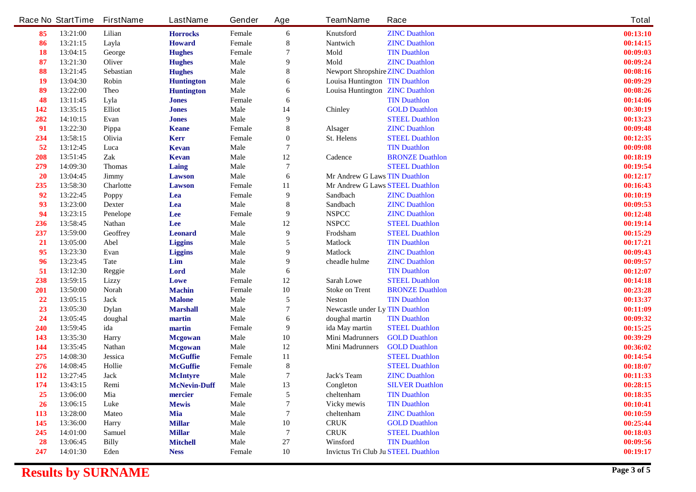|            | <b>Race No StartTime</b> | <b>FirstName</b> | <b>LastName</b>     | Gender      | Age              | <b>TeamName</b>                            | Race                   | <b>Total</b> |
|------------|--------------------------|------------------|---------------------|-------------|------------------|--------------------------------------------|------------------------|--------------|
| 85         | 13:21:00                 | Lilian           | <b>Horrocks</b>     | Female      | 6                | <b>Knutsford</b>                           | <b>ZINC Duathlon</b>   | 00:13:10     |
| 86         | 13:21:15                 | Layla            | <b>Howard</b>       | Female      | 8                | <b>Nantwich</b>                            | <b>ZINC Duathlon</b>   | 00:14:15     |
| <b>18</b>  | 13:04:15                 | George           | <b>Hughes</b>       | Female      | 7                | Mold                                       | <b>TIN Duathlon</b>    | 00:09:03     |
| 87         | 13:21:30                 | <b>Oliver</b>    | <b>Hughes</b>       | <b>Male</b> | 9                | Mold                                       | <b>ZINC Duathlon</b>   | 00:09:24     |
| 88         | 13:21:45                 | <b>Sebastian</b> | <b>Hughes</b>       | <b>Male</b> | 8                | <b>Newport Shropshire ZINC Duathlon</b>    |                        | 00:08:16     |
| 19         | 13:04:30                 | Robin            | <b>Huntington</b>   | <b>Male</b> | 6                | <b>Louisa Huntington TIN Duathlon</b>      |                        | 00:09:29     |
| 89         | 13:22:00                 | <b>Theo</b>      | <b>Huntington</b>   | <b>Male</b> | 6                | <b>Louisa Huntington ZINC Duathlon</b>     |                        | 00:08:26     |
| 48         | 13:11:45                 | Lyla             | <b>Jones</b>        | Female      | 6                |                                            | <b>TIN Duathlon</b>    | 00:14:06     |
| 142        | 13:35:15                 | <b>Elliot</b>    | <b>Jones</b>        | <b>Male</b> | 14               | <b>Chinley</b>                             | <b>GOLD Duathlon</b>   | 00:30:19     |
| 282        | 14:10:15                 | Evan             | <b>Jones</b>        | <b>Male</b> | 9                |                                            | <b>STEEL Duathlon</b>  | 00:13:23     |
| 91         | 13:22:30                 | Pippa            | <b>Keane</b>        | Female      | 8                | <b>Alsager</b>                             | <b>ZINC Duathlon</b>   | 00:09:48     |
| 234        | 13:58:15                 | Olivia           | <b>Kerr</b>         | Female      | $\boldsymbol{0}$ | <b>St. Helens</b>                          | <b>STEEL Duathlon</b>  | 00:12:35     |
| 52         | 13:12:45                 | Luca             | <b>Kevan</b>        | <b>Male</b> | 7                |                                            | <b>TIN Duathlon</b>    | 00:09:08     |
| 208        | 13:51:45                 | Zak              | <b>Kevan</b>        | <b>Male</b> | 12               | <b>Cadence</b>                             | <b>BRONZE Duathlon</b> | 00:18:19     |
| 279        | 14:09:30                 | Thomas           | Laing               | <b>Male</b> | 7                |                                            | <b>STEEL Duathlon</b>  | 00:19:54     |
| <b>20</b>  | 13:04:45                 | <b>Jimmy</b>     | <b>Lawson</b>       | <b>Male</b> | 6                | Mr Andrew G Laws TIN Duathlon              |                        | 00:12:17     |
| 235        | 13:58:30                 | Charlotte        | <b>Lawson</b>       | Female      | 11               | Mr Andrew G Laws STEEL Duathlon            |                        | 00:16:43     |
| 92         | 13:22:45                 | <b>Poppy</b>     | Lea                 | Female      | $\boldsymbol{9}$ | <b>Sandbach</b>                            | <b>ZINC Duathlon</b>   | 00:10:19     |
| 93         | 13:23:00                 | <b>Dexter</b>    | Lea                 | <b>Male</b> | 8                | <b>Sandbach</b>                            | <b>ZINC Duathlon</b>   | 00:09:53     |
| 94         | 13:23:15                 | <b>Penelope</b>  | Lee                 | Female      | 9                | <b>NSPCC</b>                               | <b>ZINC Duathlon</b>   | 00:12:48     |
| 236        | 13:58:45                 | <b>Nathan</b>    | Lee                 | <b>Male</b> | 12               | <b>NSPCC</b>                               | <b>STEEL Duathlon</b>  | 00:19:14     |
| 237        | 13:59:00                 | <b>Geoffrey</b>  | <b>Leonard</b>      | <b>Male</b> | $\boldsymbol{9}$ | Frodsham                                   | <b>STEEL Duathlon</b>  | 00:15:29     |
| <b>21</b>  | 13:05:00                 | Abel             | <b>Liggins</b>      | <b>Male</b> | 5                | <b>Matlock</b>                             | <b>TIN Duathlon</b>    | 00:17:21     |
| 95         | 13:23:30                 | Evan             | <b>Liggins</b>      | <b>Male</b> | 9                | <b>Matlock</b>                             | <b>ZINC Duathlon</b>   | 00:09:43     |
| 96         | 13:23:45                 | <b>Tate</b>      | Lim                 | <b>Male</b> | 9                | cheadle hulme                              | <b>ZINC Duathlon</b>   | 00:09:57     |
| 51         | 13:12:30                 | <b>Reggie</b>    | Lord                | <b>Male</b> | 6                |                                            | <b>TIN Duathlon</b>    | 00:12:07     |
| 238        | 13:59:15                 | Lizzy            | Lowe                | Female      | 12               | <b>Sarah Lowe</b>                          | <b>STEEL Duathlon</b>  | 00:14:18     |
| 201        | 13:50:00                 | <b>Norah</b>     | <b>Machin</b>       | Female      | 10               | <b>Stoke on Trent</b>                      | <b>BRONZE Duathlon</b> | 00:23:28     |
| 22         | 13:05:15                 | <b>Jack</b>      | <b>Malone</b>       | <b>Male</b> | 5                | <b>Neston</b>                              | <b>TIN Duathlon</b>    | 00:13:37     |
| 23         | 13:05:30                 | <b>Dylan</b>     | <b>Marshall</b>     | <b>Male</b> | 7                | <b>Newcastle under Ly TIN Duathlon</b>     |                        | 00:11:09     |
| 24         | 13:05:45                 | doughal          | martin              | <b>Male</b> | 6                | doughal martin                             | <b>TIN Duathlon</b>    | 00:09:32     |
| 240        | 13:59:45                 | ida              | martin              | Female      | 9                | ida May martin                             | <b>STEEL Duathlon</b>  | 00:15:25     |
| 143        | 13:35:30                 | <b>Harry</b>     | <b>Mcgowan</b>      | <b>Male</b> | 10               | <b>Mini Madrunners</b>                     | <b>GOLD Duathlon</b>   | 00:39:29     |
| 144        | 13:35:45                 | <b>Nathan</b>    | <b>Mcgowan</b>      | <b>Male</b> | 12               | <b>Mini Madrunners</b>                     | <b>GOLD Duathlon</b>   | 00:36:02     |
| 275        | 14:08:30                 | <b>Jessica</b>   | <b>McGuffie</b>     | Female      | 11               |                                            | <b>STEEL Duathlon</b>  | 00:14:54     |
| 276        | 14:08:45                 | Hollie           | <b>McGuffie</b>     | Female      | ${\bf 8}$        |                                            | <b>STEEL Duathlon</b>  | 00:18:07     |
| 112        | 13:27:45                 | <b>Jack</b>      | <b>McIntyre</b>     | <b>Male</b> | 7                | <b>Jack's Team</b>                         | <b>ZINC Duathlon</b>   | 00:11:33     |
| 174        | 13:43:15                 | Remi             | <b>McNevin-Duff</b> | Male        | 13               | Congleton                                  | <b>SILVER Duathlon</b> | 00:28:15     |
| 25         | 13:06:00                 | Mia              | mercier             | Female      | 5                | cheltenham                                 | <b>TIN Duathlon</b>    | 00:18:35     |
| 26         | 13:06:15                 | Luke             | <b>Mewis</b>        | Male        |                  | <b>Vicky mewis</b>                         | <b>TIN Duathlon</b>    | 00:10:41     |
| <b>113</b> | 13:28:00                 | <b>Mateo</b>     | Mia                 | <b>Male</b> | 7                | cheltenham                                 | <b>ZINC Duathlon</b>   | 00:10:59     |
| 145        | 13:36:00                 | <b>Harry</b>     | <b>Millar</b>       | <b>Male</b> | 10               | <b>CRUK</b>                                | <b>GOLD Duathlon</b>   | 00:25:44     |
| 245        | 14:01:00                 | <b>Samuel</b>    | <b>Millar</b>       | <b>Male</b> | 7                | <b>CRUK</b>                                | <b>STEEL Duathlon</b>  | 00:18:03     |
| <b>28</b>  | 13:06:45                 | <b>Billy</b>     | <b>Mitchell</b>     | Male        | 27               | Winsford                                   | <b>TIN Duathlon</b>    | 00:09:56     |
| 247        | 14:01:30                 | Eden             | <b>Ness</b>         | Female      | 10               | <b>Invictus Tri Club Ju STEEL Duathlon</b> |                        | 00:19:17     |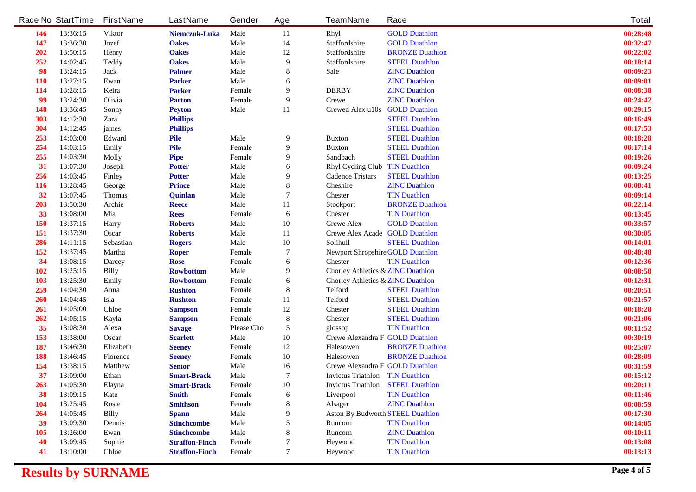|            | <b>Race No StartTime</b> | <b>FirstName</b> | <b>LastName</b>       | Gender            | Age            | <b>TeamName</b>                              | Race                   | <b>Total</b> |
|------------|--------------------------|------------------|-----------------------|-------------------|----------------|----------------------------------------------|------------------------|--------------|
| 146        | 13:36:15                 | <b>Viktor</b>    | Niemczuk-Luka         | Male              | 11             | <b>Rhyl</b>                                  | <b>GOLD Duathlon</b>   | 00:28:48     |
| 147        | 13:36:30                 | <b>Jozef</b>     | <b>Oakes</b>          | <b>Male</b>       | 14             | Staffordshire                                | <b>GOLD Duathlon</b>   | 00:32:47     |
| 202        | 13:50:15                 | Henry            | <b>Oakes</b>          | <b>Male</b>       | 12             | <b>Staffordshire</b>                         | <b>BRONZE Duathlon</b> | 00:22:02     |
| 252        | 14:02:45                 | <b>Teddy</b>     | <b>Oakes</b>          | <b>Male</b>       | 9              | <b>Staffordshire</b>                         | <b>STEEL Duathlon</b>  | 00:18:14     |
| 98         | 13:24:15                 | <b>Jack</b>      | <b>Palmer</b>         | <b>Male</b>       | 8              | Sale                                         | <b>ZINC Duathlon</b>   | 00:09:23     |
| <b>110</b> | 13:27:15                 | Ewan             | <b>Parker</b>         | <b>Male</b>       | 6              |                                              | <b>ZINC Duathlon</b>   | 00:09:01     |
| 114        | 13:28:15                 | Keira            | <b>Parker</b>         | Female            | 9              | <b>DERBY</b>                                 | <b>ZINC Duathlon</b>   | 00:08:38     |
| 99         | 13:24:30                 | Olivia           | <b>Parton</b>         | Female            | 9              | <b>Crewe</b>                                 | <b>ZINC Duathlon</b>   | 00:24:42     |
| 148        | 13:36:45                 | <b>Sonny</b>     | <b>Peyton</b>         | <b>Male</b>       | 11             | <b>Crewed Alex u10s</b>                      | <b>GOLD Duathlon</b>   | 00:29:15     |
| 303        | 14:12:30                 | Zara             | <b>Phillips</b>       |                   |                |                                              | <b>STEEL Duathlon</b>  | 00:16:49     |
| 304        | 14:12:45                 | james            | <b>Phillips</b>       |                   |                |                                              | <b>STEEL Duathlon</b>  | 00:17:53     |
| 253        | 14:03:00                 | Edward           | <b>Pile</b>           | Male              | 9              | <b>Buxton</b>                                | <b>STEEL Duathlon</b>  | 00:18:28     |
| 254        | 14:03:15                 | <b>Emily</b>     | Pile                  | Female            | 9              | <b>Buxton</b>                                | <b>STEEL Duathlon</b>  | 00:17:14     |
| 255        | 14:03:30                 | <b>Molly</b>     | Pipe                  | Female            | 9              | <b>Sandbach</b>                              | <b>STEEL Duathlon</b>  | 00:19:26     |
| 31         | 13:07:30                 | <b>Joseph</b>    | <b>Potter</b>         | <b>Male</b>       | 6              | <b>Rhyl Cycling Club</b>                     | <b>TIN Duathlon</b>    | 00:09:24     |
| 256        | 14:03:45                 | <b>Finley</b>    | <b>Potter</b>         | <b>Male</b>       | 9              | <b>Cadence Tristars</b>                      | <b>STEEL Duathlon</b>  | 00:13:25     |
| <b>116</b> | 13:28:45                 | George           | <b>Prince</b>         | <b>Male</b>       | 8              | <b>Cheshire</b>                              | <b>ZINC Duathlon</b>   | 00:08:41     |
| 32         | 13:07:45                 | <b>Thomas</b>    | Quinlan               | <b>Male</b>       | 7              | <b>Chester</b>                               | <b>TIN Duathlon</b>    | 00:09:14     |
| 203        | 13:50:30                 | Archie           | <b>Reece</b>          | <b>Male</b>       | 11             | <b>Stockport</b>                             | <b>BRONZE Duathlon</b> | 00:22:14     |
| 33         | 13:08:00                 | Mia              | <b>Rees</b>           | Female            | 6              | <b>Chester</b>                               | <b>TIN Duathlon</b>    | 00:13:45     |
| 150        | 13:37:15                 | <b>Harry</b>     | <b>Roberts</b>        | <b>Male</b>       | 10             | <b>Crewe Alex</b>                            | <b>GOLD Duathlon</b>   | 00:33:57     |
| 151        | 13:37:30                 | Oscar            | <b>Roberts</b>        | <b>Male</b>       | 11             | <b>Crewe Alex Acade GOLD Duathlon</b>        |                        | 00:30:05     |
| 286        | 14:11:15                 | Sebastian        | <b>Rogers</b>         | Male              | 10             | <b>Solihull</b>                              | <b>STEEL Duathlon</b>  | 00:14:01     |
| 152        | 13:37:45                 | <b>Martha</b>    | <b>Roper</b>          | Female            | 7              | <b>Newport Shropshire GOLD Duathlon</b>      |                        | 00:48:48     |
| 34         | 13:08:15                 | <b>Darcey</b>    | <b>Rose</b>           | Female            | 6              | <b>Chester</b>                               | <b>TIN Duathlon</b>    | 00:12:36     |
| 102        | 13:25:15                 | <b>Billy</b>     | <b>Rowbottom</b>      | <b>Male</b>       | 9              | <b>Chorley Athletics &amp; ZINC Duathlon</b> |                        | 00:08:58     |
| 103        | 13:25:30                 | Emily            | <b>Rowbottom</b>      | Female            | 6              | <b>Chorley Athletics &amp; ZINC Duathlon</b> |                        | 00:12:31     |
| 259        | 14:04:30                 | Anna             | <b>Rushton</b>        | Female            | 8              | <b>Telford</b>                               | <b>STEEL Duathlon</b>  | 00:20:51     |
| 260        | 14:04:45                 | Isla             | <b>Rushton</b>        | Female            | 11             | <b>Telford</b>                               | <b>STEEL Duathlon</b>  | 00:21:57     |
| 261        | 14:05:00                 | <b>Chloe</b>     | <b>Sampson</b>        | Female            | 12             | <b>Chester</b>                               | <b>STEEL Duathlon</b>  | 00:18:28     |
| 262        | 14:05:15                 | Kayla            | <b>Sampson</b>        | Female            | 8              | <b>Chester</b>                               | <b>STEEL Duathlon</b>  | 00:21:06     |
| 35         | 13:08:30                 | Alexa            | <b>Savage</b>         | <b>Please Cho</b> | 5              | glossop                                      | <b>TIN Duathlon</b>    | 00:11:52     |
| 153        | 13:38:00                 | Oscar            | <b>Scarlett</b>       | <b>Male</b>       | 10             | <b>Crewe Alexandra F GOLD Duathlon</b>       |                        | 00:30:19     |
| 187        | 13:46:30                 | Elizabeth        | <b>Seeney</b>         | Female            | 12             | <b>Halesowen</b>                             | <b>BRONZE Duathlon</b> | 00:25:07     |
| 188        | 13:46:45                 | <b>Florence</b>  | <b>Seeney</b>         | Female            | 10             | <b>Halesowen</b>                             | <b>BRONZE Duathlon</b> | 00:28:09     |
| 154        | 13:38:15                 | <b>Matthew</b>   | <b>Senior</b>         | <b>Male</b>       | 16             | <b>Crewe Alexandra F GOLD Duathlon</b>       |                        | 00:31:59     |
| 37         | 13:09:00                 | <b>Ethan</b>     | <b>Smart-Brack</b>    | <b>Male</b>       | $\overline{7}$ | <b>Invictus Triathlon</b> TIN Duathlon       |                        | 00:15:12     |
| 263        | 14:05:30                 | Elayna           | <b>Smart-Brack</b>    | Female            | 10             | <b>Invictus Triathlon</b> STEEL Duathlon     |                        | 00:20:11     |
| 38         | 13:09:15                 | Kate             | <b>Smith</b>          | Female            | 6              | Liverpool                                    | <b>TIN Duathlon</b>    | 00:11:46     |
| <b>104</b> | 13:25:45                 | <b>Rosie</b>     | <b>Smithson</b>       | Female            | 8              | <b>Alsager</b>                               | <b>ZINC Duathlon</b>   | 00:08:59     |
| 264        | 14:05:45                 | <b>Billy</b>     | <b>Spann</b>          | <b>Male</b>       | 9              | <b>Aston By Budworth STEEL Duathlon</b>      |                        | 00:17:30     |
| 39         | 13:09:30                 | <b>Dennis</b>    | <b>Stinchcombe</b>    | <b>Male</b>       |                | <b>Runcorn</b>                               | <b>TIN Duathlon</b>    | 00:14:05     |
| <b>105</b> | 13:26:00                 | Ewan             | <b>Stinchcombe</b>    | Male              | 8              | <b>Runcom</b>                                | <b>ZINC Duathlon</b>   | 00:10:11     |
| 40         | 13:09:45                 | Sophie           | <b>Straffon-Finch</b> | <b>Female</b>     |                | Heywood                                      | <b>TIN Duathlon</b>    | 00:13:08     |
| 41         | 13:10:00                 | <b>Chloe</b>     | <b>Straffon-Finch</b> | Female            | 7              | Heywood                                      | <b>TIN Duathlon</b>    | 00:13:13     |